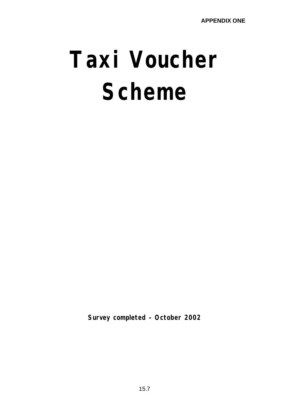# **Taxi Voucher Scheme**

**Survey completed – October 2002**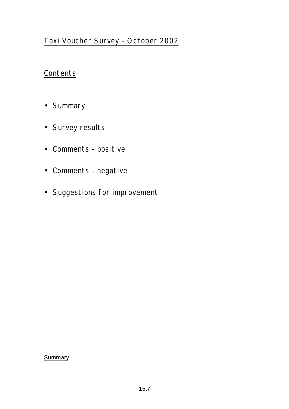## Taxi Voucher Survey – October 2002

### **Contents**

- Summary
- Survey results
- Comments positive
- Comments negative
- Suggestions for improvement

**Summary**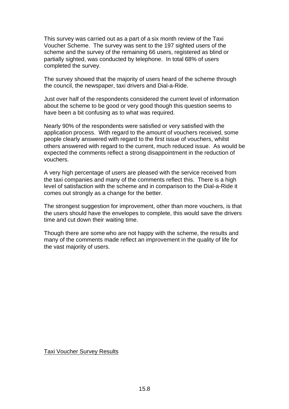This survey was carried out as a part of a six month review of the Taxi Voucher Scheme. The survey was sent to the 197 sighted users of the scheme and the survey of the remaining 66 users, registered as blind or partially sighted, was conducted by telephone. In total 68% of users completed the survey.

The survey showed that the majority of users heard of the scheme through the council, the newspaper, taxi drivers and Dial-a-Ride.

Just over half of the respondents considered the current level of information about the scheme to be good or very good though this question seems to have been a bit confusing as to what was required.

Nearly 90% of the respondents were satisfied or very satisfied with the application process. With regard to the amount of vouchers received, some people clearly answered with regard to the first issue of vouchers, whilst others answered with regard to the current, much reduced issue. As would be expected the comments reflect a strong disappointment in the reduction of vouchers.

A very high percentage of users are pleased with the service received from the taxi companies and many of the comments reflect this. There is a high level of satisfaction with the scheme and in comparison to the Dial-a-Ride it comes out strongly as a change for the better.

The strongest suggestion for improvement, other than more vouchers, is that the users should have the envelopes to complete, this would save the drivers time and cut down their waiting time.

Though there are some who are not happy with the scheme, the results and many of the comments made reflect an improvement in the quality of life for the vast majority of users.

Taxi Voucher Survey Results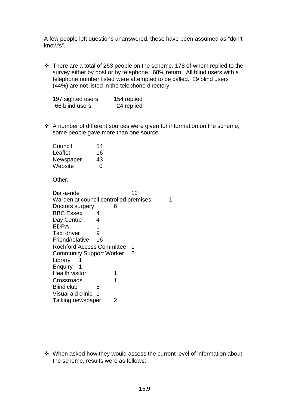A few people left questions unanswered, these have been assumed as "don't know's".

 $\cdot$  There are a total of 263 people on the scheme, 178 of whom replied to the survey either by post or by telephone. 68% return. All blind users with a telephone number listed were attempted to be called. 29 blind users (44%) are not listed in the telephone directory.

| 197 sighted users | 154 replied |
|-------------------|-------------|
| 66 blind users    | 24 replied  |

 $\div$  A number of different sources were given for information on the scheme, some people gave more than one source.

| Council   | 54 |
|-----------|----|
| Leaflet   | 16 |
| Newspaper | 43 |
| Website   | O  |

Other:-

Dial-a-ride 12 Warden at council controlled premises 1 Doctors surgery 6 BBC Essex 4 Day Centre 4 EDPA 1 Taxi driver 9 Friend/relative 16 Rochford Access Committee 1 Community Support Worker 2 Library 1 Enquiry 1 Health visitor 1 Crossroads 1 Blind club 5 Visual aid clinic 1 Talking newspaper 2

v When asked how they would assess the current level of information about the scheme, results were as follows:--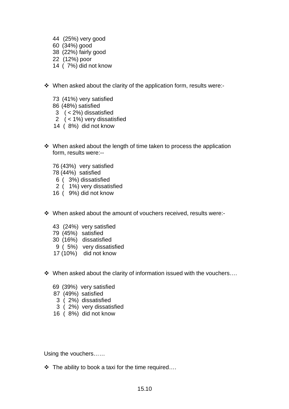- 44 (25%) very good
- 60 (34%) good
- 38 (22%) fairly good
- 22 (12%) poor
- 14 ( 7%) did not know
- When asked about the clarity of the application form, results were:-
	- 73 (41%) very satisfied
	- 86 (48%) satisfied
	- 3 ( < 2%) dissatisfied
	- 2 ( < 1%) very dissatisfied
	- 14 ( 8%) did not know
- When asked about the length of time taken to process the application form, results were:--
	- 76 (43%) very satisfied
	- 78 (44%) satisfied
	- 6 ( 3%) dissatisfied
	- 2 ( 1%) very dissatisfied
	- 16 ( 9%) did not know
- $\cdot$  When asked about the amount of vouchers received, results were:-
	- 43 (24%) very satisfied
	- 79 (45%) satisfied
	- 30 (16%) dissatisfied
	- 9 ( 5%) very dissatisfied
	- 17 (10%) did not know
- $\cdot$  When asked about the clarity of information issued with the vouchers....
	- 69 (39%) very satisfied
	- 87 (49%) satisfied
	- 3 ( 2%) dissatisfied
	- 3 ( 2%) very dissatisfied
	- 16 ( 8%) did not know

Using the vouchers……

 $\cdot \cdot$  The ability to book a taxi for the time required....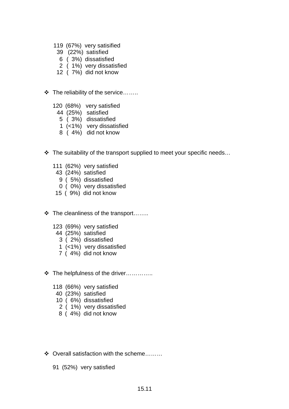- 119 (67%) very satisified
- 39 (22%) satisfied
- 6 ( 3%) dissatisfied
- 2 ( 1%) very dissatisfied
- 12 ( 7%) did not know
- $\div$  The reliability of the service........
	- 120 (68%) very satisfied
		- 44 (25%) satisfied
		- 5 ( 3%) dissatisfied
		- 1 (<1%) very dissatisfied
		- 8 ( 4%) did not know
- $\cdot$  The suitability of the transport supplied to meet your specific needs...
	- 111 (62%) very satisfied
	- 43 (24%) satisfied
		- 9 ( 5%) dissatisfied
	- 0 ( 0%) very dissatisfied
	- 15 ( 9%) did not know
- $\div$  The cleanliness of the transport.......
	- 123 (69%) very satisfied
		- 44 (25%) satisfied
			- 3 ( 2%) dissatisfied
			- 1 (<1%) very dissatisfied
			- 7 ( 4%) did not know
- v The helpfulness of the driver…………..
	- 118 (66%) very satisfied
	- 40 (23%) satisfied
	- 10 ( 6%) dissatisfied
	- 2 ( 1%) very dissatisfied
	- 8 ( 4%) did not know
- $\div$  Overall satisfaction with the scheme........
	- 91 (52%) very satisfied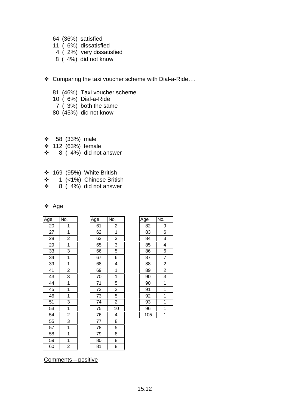- 64 (36%) satisfied
- 11 ( 6%) dissatisfied
- 4 ( 2%) very dissatisfied
- 8 ( 4%) did not know
- v Comparing the taxi voucher scheme with Dial-a-Ride….
	- 81 (46%) Taxi voucher scheme
	- 10 ( 6%) Dial-a-Ride
	- 7 ( 3%) both the same
	- 80 (45%) did not know
- $\div$  58 (33%) male
- v 112 (63%) female
- $\div$  8 (4%) did not answer
- $\div$  169 (95%) White British
- v 1 (<1%) Chinese British
- $\div$  8 (4%) did not answer

| Aae |
|-----|
|     |

| Age | No.            | Age | No.            | Age | No.                      |
|-----|----------------|-----|----------------|-----|--------------------------|
| 20  | 1              | 61  | $\overline{c}$ | 82  | 9                        |
| 27  | 1              | 62  | 1              | 83  | 6                        |
| 28  | $\overline{2}$ | 63  | 3              | 84  | $\overline{3}$           |
| 29  | $\mathbf{1}$   | 65  | 3              | 85  | $\overline{\mathcal{A}}$ |
| 33  | 3              | 66  | 5              | 86  | 6                        |
| 34  | 1              | 67  | 6              | 87  | 7                        |
| 39  | 1              | 68  | 4              | 88  | $\overline{c}$           |
| 41  | $\overline{2}$ | 69  | $\mathbf 1$    | 89  | $\overline{c}$           |
| 43  | 3              | 70  | $\mathbf 1$    | 90  | 3                        |
| 44  | 1              | 71  | 5              | 90  | $\mathbf{1}$             |
| 45  | 1              | 72  | $\overline{2}$ | 91  | $\mathbf{1}$             |
| 46  | 1              | 73  | 5              | 92  | $\mathbf{1}$             |
| 51  | 3              | 74  | $\overline{2}$ | 93  | $\overline{1}$           |
| 53  | 1              | 75  | 10             | 96  | $\mathbf{1}$             |
| 54  | $\overline{c}$ | 76  | 4              | 105 | $\overline{1}$           |
| 55  | 3              | 77  | 8              |     |                          |
| 57  | $\mathbf{1}$   | 78  | 5              |     |                          |
| 58  | 1              | 79  | 8              |     |                          |
| 59  | 1              | 80  | 8              |     |                          |
| 60  | $\overline{2}$ | 81  | 8              |     |                          |



| Age | No.            |  |  |
|-----|----------------|--|--|
| 82  | 9              |  |  |
| 83  | 6              |  |  |
| 84  | 3              |  |  |
| 85  | $\overline{4}$ |  |  |
| 86  | 6              |  |  |
| 87  | $\frac{7}{2}$  |  |  |
| 88  |                |  |  |
| 89  | $\overline{2}$ |  |  |
| 90  | $\overline{3}$ |  |  |
| 90  | 1              |  |  |
| 91  | 1              |  |  |
| 92  | 1              |  |  |
| 93  | 1              |  |  |
| 96  | 1              |  |  |
| 105 | 1              |  |  |

Comments – positive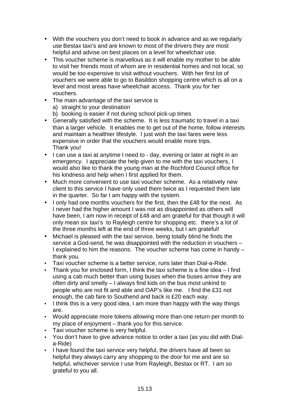- With the vouchers you don't need to book in advance and as we regularly use Bestax taxi's and are known to most of the drivers they are most helpful and advise on best places on a level for wheelchair use.
- This voucher scheme is marvellous as it will enable my mother to be able to visit her friends most of whom are in residential homes and not local, so would be too expensive to visit without vouchers. With her first lot of vouchers we were able to go to Basildon shopping centre which is all on a level and most areas have wheelchair access. Thank you for her vouchers.
- The main advantage of the taxi service is
	- a) straight to your destination
	- b) booking is easier if not during school pick-up times
- Generally satisfied with the scheme. It is less traumatic to travel in a taxi than a larger vehicle. It enables me to get out of the home, follow interests and maintain a healthier lifestyle. I just wish the taxi fares were less expensive in order that the vouchers would enable more trips. Thank you!
- I can use a taxi at anytime I need to day, evening or later at night in an emergency. I appreciate the help given to me with the taxi vouchers, I would also like to thank the young man at the Rochford Council office for his kindness and help when I first applied for them.
- Much more convenient to use taxi voucher scheme. As a relatively new client to this service I have only used them twice as I requested them late in the quarter. So far I am happy with the system.
- I only had one months vouchers for the first, then the £48 for the next. As I never had the higher amount I was not as disappointed as others will have been, I am now in receipt of £48 and am grateful for that though it will only mean six taxi's to Rayleigh centre for shopping etc. there's a lot of the three months left at the end of three weeks, but I am grateful!
- Michael is pleased with the taxi service, being totally blind he finds the service a God-send, he was disappointed with the reduction in vouchers – I explained to him the reasons. The voucher scheme has come in handy – thank you.
- Taxi voucher scheme is a better service, runs later than Dial-a-Ride.
- Thank you for enclosed form, I think the taxi scheme is a fine idea I find using a cab much better than using buses when the buses arrive they are often dirty and smelly – I always find kids on the bus most unkind to people who are not fit and able and OAP's like me. I find the £31 not enough, the cab fare to Southend and back is £20 each way.
- I think this is a very good idea, I am more than happy with the way things are.
- Would appreciate more tokens allowing more than one return per month to my place of enjoyment – thank you for this service.
- Taxi voucher scheme is very helpful.
- You don't have to give advance notice to order a taxi (as you did with Diala-Ride)
- I have found the taxi service very helpful, the drivers have all been so helpful they always carry any shopping to the door for me and are so helpful, whichever service I use from Rayleigh, Bestax or RT. I am so grateful to you all.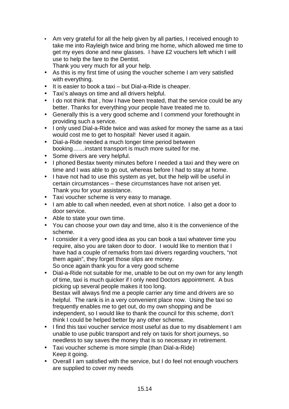• Am very grateful for all the help given by all parties, I received enough to take me into Rayleigh twice and bring me home, which allowed me time to get my eyes done and new glasses. I have £2 vouchers left which I will use to help the fare to the Dentist.

Thank you very much for all your help.

- As this is my first time of using the voucher scheme I am very satisfied with everything.
- It is easier to book a taxi but Dial-a-Ride is cheaper.
- Taxi's always on time and all drivers helpful.
- I do not think that , how I have been treated, that the service could be any better. Thanks for everything your people have treated me to.
- Generally this is a very good scheme and I commend your forethought in providing such a service.
- I only used Dial-a-Ride twice and was asked for money the same as a taxi would cost me to get to hospital! Never used it again.
- Dial-a-Ride needed a much longer time period between booking……instant transport is much more suited for me.
- Some drivers are very helpful.
- I phoned Bestax twenty minutes before I needed a taxi and they were on time and I was able to go out, whereas before I had to stay at home.
- I have not had to use this system as yet, but the help will be useful in certain circumstances – these circumstances have not arisen yet. Thank you for your assistance.
- Taxi voucher scheme is very easy to manage.
- I am able to call when needed, even at short notice. I also get a door to door service.
- Able to state your own time.
- You can choose your own day and time, also it is the convenience of the scheme.
- I consider it a very good idea as you can book a taxi whatever time you require, also you are taken door to door. I would like to mention that I have had a couple of remarks from taxi drivers regarding vouchers, "not them again", they forget those slips are money. So once again thank you for a very good scheme
- Dial-a-Ride not suitable for me, unable to be out on my own for any length of time, taxi is much quicker if I only need Doctors appointment. A bus picking up several people makes it too long. Bestax will always find me a people carrier any time and drivers are so helpful. The rank is in a very convenient place now. Using the taxi so frequently enables me to get out, do my own shopping and be independent, so I would like to thank the council for this scheme, don't think I could be helped better by any other scheme.
- I find this taxi voucher service most useful as due to my disablement I am unable to use public transport and rely on taxis for short journeys, so needless to say saves the money that is so necessary in retirement.
- Taxi voucher scheme is more simple (than Dial-a-Ride) Keep it going.
- Overall I am satisfied with the service, but I do feel not enough vouchers are supplied to cover my needs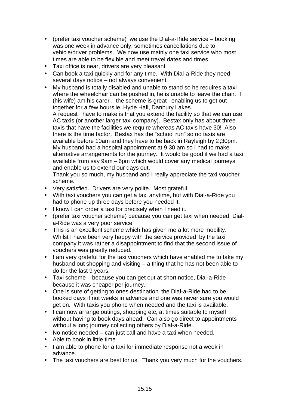- (prefer taxi voucher scheme) we use the Dial-a-Ride service booking was one week in advance only, sometimes cancellations due to vehicle/driver problems. We now use mainly one taxi service who most times are able to be flexible and meet travel dates and times.
- Taxi office is near, drivers are very pleasant
- Can book a taxi quickly and for any time. With Dial-a-Ride they need several days notice – not always convenient.
- My husband is totally disabled and unable to stand so he requires a taxi where the wheelchair can be pushed in, he is unable to leave the chair. I (his wife) am his carer . the scheme is great , enabling us to get out together for a few hours ie, Hyde Hall, Danbury Lakes. A request I have to make is that you extend the facility so that we can use

AC taxis (or another larger taxi company). Bestax only has about three taxis that have the facilities we require whereas AC taxis have 30! Also there is the time factor. Bestax has the "school run" so no taxis are available before 10am and they have to be back in Rayleigh by 2;30pm. My husband had a hospital appointment at 9.30 am so I had to make alternative arrangements for the journey. It would be good if we had a taxi available from say 9am – 6pm which would cover any medical journeys and enable us to extend our days out.

Thank you so much, my husband and I really appreciate the taxi voucher scheme.

- Very satisfied. Drivers are very polite. Most grateful.
- With taxi vouchers you can get a taxi anytime, but with Dial-a-Ride you had to phone up three days before you needed it.
- I know I can order a taxi for precisely when I need it.
- (prefer taxi voucher scheme) because you can get taxi when needed, Diala-Ride was a very poor service
- This is an excellent scheme which has given me a lot more mobility. Whilst I have been very happy with the service provided by the taxi company it was rather a disappointment to find that the second issue of vouchers was greatly reduced.
- I am very grateful for the taxi vouchers which have enabled me to take my husband out shopping and visiting – a thing that he has not been able to do for the last 9 years.
- Taxi scheme because you can get out at short notice, Dial-a-Ride because it was cheaper per journey.
- One is sure of getting to ones destination, the Dial-a-Ride had to be booked days if not weeks in advance and one was never sure you would get on. With taxis you phone when needed and the taxi is available.
- I can now arrange outings, shopping etc, at times suitable to myself without having to book days ahead. Can also go direct to appointments without a long journey collecting others by Dial-a-Ride.
- No notice needed can just call and have a taxi when needed.
- Able to book in little time
- I am able to phone for a taxi for immediate response not a week in advance.
- The taxi vouchers are best for us. Thank you very much for the vouchers.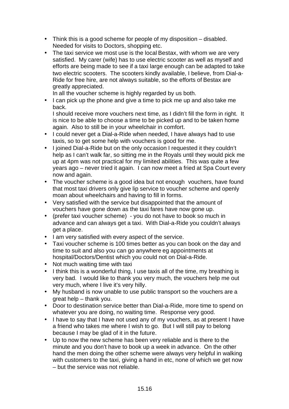- Think this is a good scheme for people of my disposition disabled. Needed for visits to Doctors, shopping etc.
- The taxi service we most use is the local Bestax, with whom we are very satisfied. My carer (wife) has to use electric scooter as well as myself and efforts are being made to see if a taxi large enough can be adapted to take two electric scooters. The scooters kindly available, I believe, from Dial-a-Ride for free hire, are not always suitable, so the efforts of Bestax are greatly appreciated.

In all the voucher scheme is highly regarded by us both.

• I can pick up the phone and give a time to pick me up and also take me back.

I should receive more vouchers next time, as I didn't fill the form in right. It is nice to be able to choose a time to be picked up and to be taken home again. Also to still be in your wheelchair in comfort.

- I could never get a Dial-a-Ride when needed, I have always had to use taxis, so to get some help with vouchers is good for me.
- I joined Dial-a-Ride but on the only occasion I requested it they couldn't help as I can't walk far, so sitting me in the Royals until they would pick me up at 4pm was not practical for my limited abilities. This was quite a few years ago – never tried it again. I can now meet a fried at Spa Court every now and again.
- The voucher scheme is a good idea but not enough vouchers, have found that most taxi drivers only give lip service to voucher scheme and openly moan about wheelchairs and having to fill in forms.
- Very satisfied with the service but disappointed that the amount of vouchers have gone down as the taxi fares have now gone up.
- (prefer taxi voucher scheme) you do not have to book so much in advance and can always get a taxi. With Dial-a-Ride you couldn't always get a place.
- I am very satisfied with every aspect of the service.
- Taxi voucher scheme is 100 times better as you can book on the day and time to suit and also you can go anywhere eg appointments at hospital/Doctors/Dentist which you could not on Dial-a-Ride.
- Not much waiting time with taxi
- I think this is a wonderful thing, I use taxis all of the time, my breathing is very bad. I would like to thank you very much, the vouchers help me out very much, where I live it's very hilly.
- My husband is now unable to use public transport so the vouchers are a great help – thank you.
- Door to destination service better than Dial-a-Ride, more time to spend on whatever you are doing, no waiting time. Response very good.
- I have to say that I have not used any of my vouchers, as at present I have a friend who takes me where I wish to go. But I will still pay to belong because I may be glad of it in the future.
- Up to now the new scheme has been very reliable and is there to the minute and you don't have to book up a week in advance. On the other hand the men doing the other scheme were always very helpful in walking with customers to the taxi, giving a hand in etc, none of which we get now – but the service was not reliable.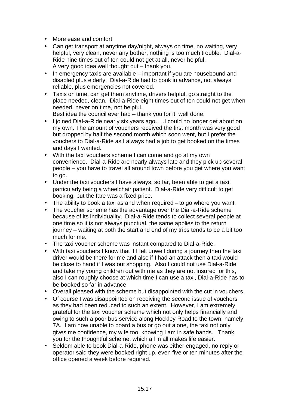- More ease and comfort.
- Can get transport at anytime day/night, always on time, no waiting, very helpful, very clean, never any bother, nothing is too much trouble. Dial-a-Ride nine times out of ten could not get at all, never helpful. A very good idea well thought out – thank you.
- In emergency taxis are available important if you are housebound and disabled plus elderly. Dial-a-Ride had to book in advance, not always reliable, plus emergencies not covered.
- Taxis on time, can get them anytime, drivers helpful, go straight to the place needed, clean. Dial-a-Ride eight times out of ten could not get when needed, never on time, not helpful.

Best idea the council ever had – thank you for it, well done.

- I joined Dial-a-Ride nearly six years ago…..I could no longer get about on my own. The amount of vouchers received the first month was very good but dropped by half the second month which soon went, but I prefer the vouchers to Dial-a-Ride as I always had a job to get booked on the times and days I wanted.
- With the taxi vouchers scheme I can come and go at my own convenience. Dial-a-Ride are nearly always late and they pick up several people – you have to travel all around town before you get where you want to go.
- Under the taxi vouchers I have always, so far, been able to get a taxi, particularly being a wheelchair patient. Dial-a-Ride very difficult to get booking, but the fare was a fixed price.
- The ability to book a taxi as and when required to go where you want.
- The voucher scheme has the advantage over the Dial-a-Ride scheme because of its individuality. Dial-a-Ride tends to collect several people at one time so it is not always punctual, the same applies to the return journey – waiting at both the start and end of my trips tends to be a bit too much for me.
- The taxi voucher scheme was instant compared to Dial-a-Ride.
- With taxi vouchers I know that if I felt unwell during a journey then the taxi driver would be there for me and also if I had an attack then a taxi would be close to hand if I was out shopping. Also I could not use Dial-a-Ride and take my young children out with me as they are not insured for this, also I can roughly choose at which time I can use a taxi, Dial-a-Ride has to be booked so far in advance.
- Overall pleased with the scheme but disappointed with the cut in vouchers.
- Of course I was disappointed on receiving the second issue of vouchers as they had been reduced to such an extent. However, I am extremely grateful for the taxi voucher scheme which not only helps financially and owing to such a poor bus service along Hockley Road to the town, namely 7A. I am now unable to board a bus or go out alone, the taxi not only gives me confidence, my wife too, knowing I am in safe hands. Thank you for the thoughtful scheme, which all in all makes life easier.
- Seldom able to book Dial-a-Ride, phone was either engaged, no reply or operator said they were booked right up, even five or ten minutes after the office opened a week before required.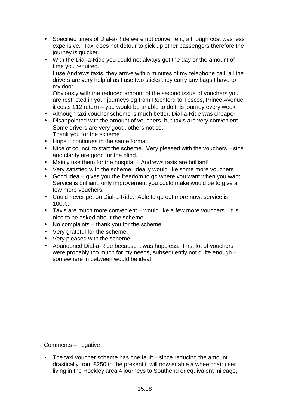- Specified times of Dial-a-Ride were not convenient, although cost was less expensive. Taxi does not detour to pick up other passengers therefore the journey is quicker.
- With the Dial-a-Ride you could not always get the day or the amount of time you required. I use Andrews taxis, they arrive within minutes of my telephone call, all the drivers are very helpful as I use two sticks they carry any bags I have to my door. Obviously with the reduced amount of the second issue of vouchers you

are restricted in your journeys eg from Rochford to Tescos, Prince Avenue it costs £12 return – you would be unable to do this journey every week.

- Although taxi voucher scheme is much better, Dial-a-Ride was cheaper.
- Disappointed with the amount of vouchers, but taxis are very convenient. Some drivers are very good, others not so. Thank you for the scheme
- Hope it continues in the same format.
- Nice of council to start the scheme. Very pleased with the vouchers size and clarity are good for the blind.
- Mainly use them for the hospital Andrews taxis are brilliant!
- Very satisfied with the scheme, ideally would like some more vouchers
- Good idea gives you the freedom to go where you want when you want. Service is brilliant, only improvement you could make would be to give a few more vouchers.
- Could never get on Dial-a-Ride. Able to go out more now, service is 100%.
- Taxis are much more convenient would like a few more vouchers. It is nice to be asked about the scheme.
- No complaints thank you for the scheme.
- Very grateful for the scheme.
- Very pleased with the scheme
- Abandoned Dial-a-Ride because it was hopeless. First lot of vouchers were probably too much for my needs, subsequently not quite enough – somewhere in between would be ideal.

#### Comments – negative

• The taxi voucher scheme has one fault – since reducing the amount drastically from £250 to the present it will now enable a wheelchair user living in the Hockley area 4 journeys to Southend or equivalent mileage,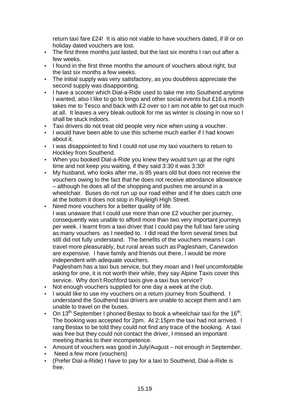return taxi fare £24! It is also not viable to have vouchers dated, if ill or on holiday dated vouchers are lost.

- The first three months just lasted, but the last six months I ran out after a few weeks.
- I found in the first three months the amount of vouchers about right, but the last six months a few weeks.
- The initial supply was very satisfactory, as you doubtless appreciate the second supply was disappointing.
- I have a scooter which Dial-a-Ride used to take me into Southend anytime I wanted, also I like to go to bingo and other social events but £16 a month takes me to Tesco and back with £2 over so I am not able to get out much at all. It leaves a very bleak outlook for me as winter is closing in now so I shall be stuck indoors.
- Taxi drivers do not treat old people very nice when using a voucher.
- I would have been able to use this scheme much earlier if I had known about it.
- I was disappointed to find I could not use my taxi vouchers to return to Hockley from Southend.
- When you booked Dial-a-Ride you knew they would turn up at the right time and not keep you waiting, if they said 3:30 it was 3:30!
- My husband, who looks after me, is 85 years old but does not receive the vouchers owing to the fact that he does not receive attendance allowance – although he does all of the shopping and pushes me around in a wheelchair. Buses do not run up our road either and if he does catch one at the bottom it does not stop in Rayleigh High Street.
- Need more vouchers for a better quality of life. I was unaware that I could use more than one £2 voucher per journey, consequently was unable to afford more than two very important journeys per week. I learnt from a taxi driver that I could pay the full taxi fare using as many vouchers as I needed to. I did read the form several times but still did not fully understand. The benefits of the vouchers means I can travel more pleasurably, but rural areas such as Paglesham, Canewdon are expensive. I have family and friends out there, I would be more independent with adequate vouchers.

Paglesham has a taxi bus service, but they moan and I feel uncomfortable asking for one, it is not worth their while, they say Alpine Taxis cover this service. Why don't Rochford taxis give a taxi bus service?

- Not enough vouchers supplied for one day a week at the club.
- I would like to use my vouchers on a return journey from Southend. I understand the Southend taxi drivers are unable to accept them and I am unable to travel on the buses.
- On 13<sup>th</sup> September I phoned Bestax to book a wheelchair taxi for the 16<sup>th</sup>. The booking was accepted for 2pm. At 2:15pm the taxi had not arrived. I rang Bestax to be told they could not find any trace of the booking. A taxi was free but they could not contact the driver, I missed an important meeting thanks to their incompetence.
- Amount of vouchers was good in July/August not enough in September.
- Need a few more (vouchers)
- (Prefer Dial-a-Ride) I have to pay for a taxi to Southend, Dial-a-Ride is free.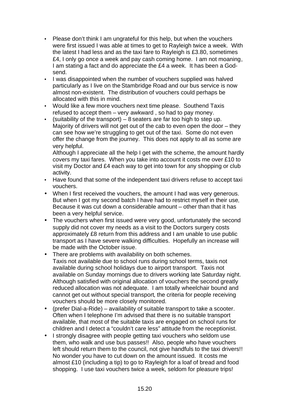- Please don't think I am ungrateful for this help, but when the vouchers were first issued I was able at times to get to Rayleigh twice a week. With the latest I had less and as the taxi fare to Rayleigh is £3.80, sometimes £4, I only go once a week and pay cash coming home. I am not moaning, I am stating a fact and do appreciate the £4 a week. It has been a Godsend.
- I was disappointed when the number of vouchers supplied was halved particularly as I live on the Stambridge Road and our bus service is now almost non-existent. The distribution of vouchers could perhaps be allocated with this in mind.
- Would like a few more vouchers next time please. Southend Taxis refused to accept them – very awkward , so had to pay money.
- (suitability of the transport)  $-8$  seaters are far too high to step up. Majority of drivers will not get out of the cab to even open the door – they can see how we're struggling to get out of the taxi. Some do not even offer the change from the journey. This does not apply to all as some are very helpful.

Although I appreciate all the help I get with the scheme, the amount hardly covers my taxi fares. When you take into account it costs me over £10 to visit my Doctor and £4 each way to get into town for any shopping or club activity.

- Have found that some of the independent taxi drivers refuse to accept taxi vouchers.
- When I first received the vouchers, the amount I had was very generous. But when I got my second batch I have had to restrict myself in their use. Because it was cut down a considerable amount – other than that it has been a very helpful service.
- The vouchers when first issued were very good, unfortunately the second supply did not cover my needs as a visit to the Doctors surgery costs approximately £8 return from this address and I am unable to use public transport as I have severe walking difficulties. Hopefully an increase will be made with the October issue.
- There are problems with availability on both schemes. Taxis not available due to school runs during school terms, taxis not available during school holidays due to airport transport. Taxis not available on Sunday mornings due to drivers working late Saturday night. Although satisfied with original allocation of vouchers the second greatly reduced allocation was not adequate. I am totally wheelchair bound and cannot get out without special transport, the criteria for people receiving vouchers should be more closely monitored.
- (prefer Dial-a-Ride) availability of suitable transport to take a scooter. Often when I telephone I'm advised that there is no suitable transport available, that most of the suitable taxis are engaged on school runs for children and I detect a "couldn't care less" attitude from the receptionist.
- I strongly disagree with people getting taxi vouchers who seldom use them, who walk and use bus passes!! Also, people who have vouchers left should return them to the council, not give handfuls to the taxi drivers!! No wonder you have to cut down on the amount issued. It costs me almost £10 (including a tip) to go to Rayleigh for a loaf of bread and food shopping. I use taxi vouchers twice a week, seldom for pleasure trips!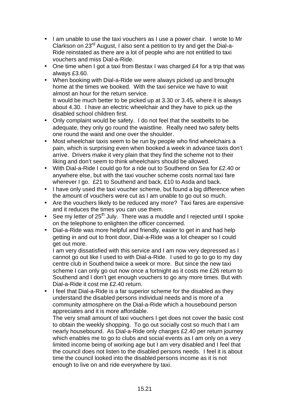- I am unable to use the taxi vouchers as I use a power chair. I wrote to Mr Clarkson on 23<sup>rd</sup> August, I also sent a petition to try and get the Dial-a-Ride reinstated as there are a lot of people who are not entitled to taxi vouchers and miss Dial-a-Ride.
- One time when I got a taxi from Bestax I was charged £4 for a trip that was always £3.60.
- When booking with Dial-a-Ride we were always picked up and brought home at the times we booked. With the taxi service we have to wait almost an hour for the return service. It would be much better to be picked up at 3.30 or 3.45, where it is always

about 4.30. I have an electric wheelchair and they have to pick up the disabled school children first.

- Only complaint would be safety. I do not feel that the seatbelts to be adequate, they only go round the waistline. Really need two safety belts one round the waist and one over the shoulder.
- Most wheelchair taxis seem to be run by people who find wheelchairs a pain, which is surprising even when booked a week in advance taxis don't arrive. Drivers make it very plain that they find the scheme not to their liking and don't seem to think wheelchairs should be allowed.
- With Dial-a-Ride I could go for a ride out to Southend on Sea for £2.40 or anywhere else, but with the taxi voucher scheme costs normal taxi fare wherever I go. £21 to Southend and back, £10 to Asda and back.
- I have only used the taxi voucher scheme, but found a big difference when the amount of vouchers were cut as I am unable to go out so much.
- Are the vouchers likely to be reduced any more? Taxi fares are expensive and it reduces the times you can use them.
- See my letter of  $25<sup>th</sup>$  July. There was a muddle and I rejected until I spoke on the telephone to enlighten the officer concerned.
- Dial-a-Ride was more helpful and friendly, easier to get in and had help getting in and out to front door, Dial-a-Ride was a lot cheaper so I could get out more.

I am very dissatisfied with this service and I am now very depressed as I cannot go out like I used to with Dial-a-Ride. I used to go to go to my day centre club in Southend twice a week or more. But since the new taxi scheme I can only go out now once a fortnight as it costs me £26 return to Southend and I don't get enough vouchers to go any more times. But with Dial-a-Ride it cost me £2.40 return.

• I feel that Dial-a-Ride is a far superior scheme for the disabled as they understand the disabled persons individual needs and is more of a community atmosphere on the Dial-a-Ride which a housebound person appreciates and it is more affordable.

The very small amount of taxi vouchers I get does not cover the basic cost to obtain the weekly shopping. To go out socially cost so much that I am nearly housebound. As Dial-a-Ride only charges £2.40 per return journey which enables me to go to clubs and social events as I am only on a very limited income being of working age but I am very disabled and I feel that the council does not listen to the disabled persons needs. I feel it is about time the council looked into the disabled persons income as it is not enough to live on and ride everywhere by taxi.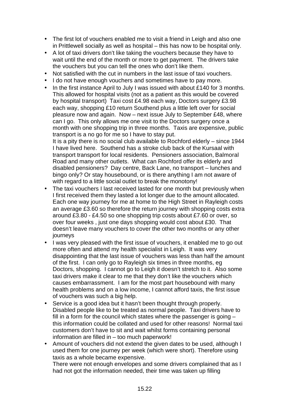- The first lot of vouchers enabled me to visit a friend in Leigh and also one in Prittlewell socially as well as hospital – this has now to be hospital only.
- A lot of taxi drivers don't like taking the vouchers because they have to wait until the end of the month or more to get payment. The drivers take the vouchers but you can tell the ones who don't like them.
- Not satisfied with the cut in numbers in the last issue of taxi vouchers.
- I do not have enough vouchers and sometimes have to pay more.
- In the first instance April to July I was issued with about £140 for 3 months. This allowed for hospital visits (not as a patient as this would be covered by hospital transport) Taxi cost £4.98 each way, Doctors surgery £3.98 each way, shopping £10 return Southend plus a little left over for social pleasure now and again. Now – next issue July to September £48, where can I go. This only allows me one visit to the Doctors surgery once a month with one shopping trip in three months. Taxis are expensive, public transport is a no go for me so I have to stay put.

It is a pity there is no social club available to Rochford elderly – since 1944 I have lived here. Southend has a stroke club back of the Kursaal with transport transport for local residents. Pensioners association, Balmoral Road and many other outlets. What can Rochford offer its elderly and disabled pensioners? Day centre, Back Lane, no transport – lunches and bingo only? Or stay housebound, or is there anything I am not aware of with regard to a little social outlet to break the monotony!

- The taxi vouchers I last received lasted for one month but previously when I first received them they lasted a lot longer due to the amount allocated. Each one way journey for me at home to the High Street in Rayleigh costs an average £3.60 so therefore the return journey with shopping costs extra around £3.80 - £4.50 so one shopping trip costs about £7.60 or over, so over four weeks , just one days shopping would cost about £30. That doesn't leave many vouchers to cover the other two months or any other journeys
- I was very pleased with the first issue of vouchers, it enabled me to go out more often and attend my health specialist in Leigh. It was very disappointing that the last issue of vouchers was less than half the amount of the first. I can only go to Rayleigh six times in three months, eg Doctors, shopping. I cannot go to Leigh it doesn't stretch to it. Also some taxi drivers make it clear to me that they don't like the vouchers which causes embarrassment. I am for the most part housebound with many health problems and on a low income, I cannot afford taxis, the first issue of vouchers was such a big help.
- Service is a good idea but it hasn't been thought through properly. Disabled people like to be treated as normal people. Taxi drivers have to fill in a form for the council which states where the passenger is going – this information could be collated and used for other reasons! Normal taxi customers don't have to sit and wait whilst forms containing personal information are filled in – too much paperwork!
- Amount of vouchers did not extend the given dates to be used, although I used them for one journey per week (which were short). Therefore using taxis as a whole became expensive.

There were not enough envelopes and some drivers complained that as I had not got the information needed, their time was taken up filling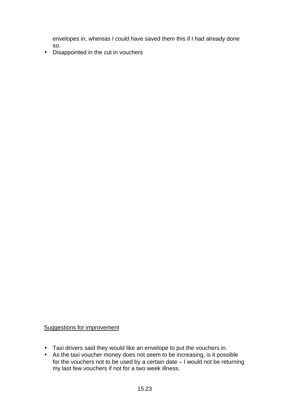envelopes in, whereas I could have saved them this if I had already done so.

• Disappointed in the cut in vouchers

#### Suggestions for improvement

- Taxi drivers said they would like an envelope to put the vouchers in.
- As the taxi voucher money does not seem to be increasing, is it possible for the vouchers not to be used by a certain date – I would not be returning my last few vouchers if not for a two week illness.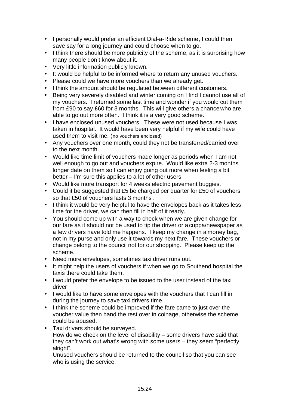- I personally would prefer an efficient Dial-a-Ride scheme, I could then save say for a long journey and could choose when to go.
- I think there should be more publicity of the scheme, as it is surprising how many people don't know about it.
- Very little information publicly known.
- It would be helpful to be informed where to return any unused vouchers.
- Please could we have more vouchers than we already get.
- I think the amount should be regulated between different customers.
- Being very severely disabled and winter coming on I find I cannot use all of my vouchers. I returned some last time and wonder if you would cut them from £90 to say £60 for 3 months. This will give others a chance who are able to go out more often. I think it is a very good scheme.
- I have enclosed unused vouchers. These were not used because I was taken in hospital. It would have been very helpful if my wife could have used them to visit me. (no vouchers enclosed)
- Any vouchers over one month, could they not be transferred/carried over to the next month.
- Would like time limit of vouchers made longer as periods when I am not well enough to go out and vouchers expire. Would like extra 2-3 months longer date on them so I can enjoy going out more when feeling a bit better – I'm sure this applies to a lot of other users.
- Would like more transport for 4 weeks electric pavement buggies.
- Could it be suggested that £5 be charged per quarter for £50 of vouchers so that £50 of vouchers lasts 3 months .
- I think it would be very helpful to have the envelopes back as it takes less time for the driver, we can then fill in half of it ready.
- You should come up with a way to check when we are given change for our fare as it should not be used to tip the driver or a cuppa/newspaper as a few drivers have told me happens. I keep my change in a money bag, not in my purse and only use it towards my next fare. These vouchers or change belong to the council not for our shopping. Please keep up the scheme.
- Need more envelopes, sometimes taxi driver runs out.
- It might help the users of vouchers if when we go to Southend hospital the taxis there could take them.
- I would prefer the envelope to be issued to the user instead of the taxi driver
- I would like to have some envelopes with the vouchers that I can fill in during the journey to save taxi drivers time.
- I think the scheme could be improved if the fare came to just over the voucher value then hand the rest over in coinage, otherwise the scheme could be abused.
- Taxi drivers should be surveyed. How do we check on the level of disability – some drivers have said that they can't work out what's wrong with some users – they seem "perfectly alright".

Unused vouchers should be returned to the council so that you can see who is using the service.